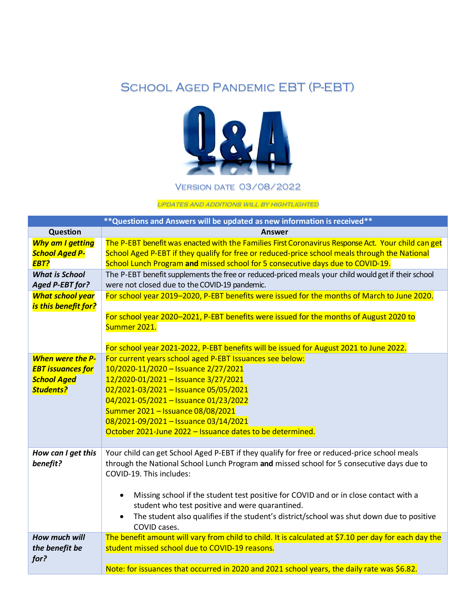## School Aged Pandemic EBT (P-EBT)



Version date 03/08/2022

updates and additions will by hightlighted

|                                                                                               | ** Questions and Answers will be updated as new information is received**                                                                                                                                                                                                                                                                                                                                                                                                                              |
|-----------------------------------------------------------------------------------------------|--------------------------------------------------------------------------------------------------------------------------------------------------------------------------------------------------------------------------------------------------------------------------------------------------------------------------------------------------------------------------------------------------------------------------------------------------------------------------------------------------------|
| <b>Question</b>                                                                               | Answer                                                                                                                                                                                                                                                                                                                                                                                                                                                                                                 |
| <b>Why am I getting</b><br><b>School Aged P-</b><br>EBT?                                      | The P-EBT benefit was enacted with the Families First Coronavirus Response Act. Your child can get<br>School Aged P-EBT if they qualify for free or reduced-price school meals through the National<br>School Lunch Program and missed school for 5 consecutive days due to COVID-19.                                                                                                                                                                                                                  |
| <b>What is School</b><br>Aged P-EBT for?                                                      | The P-EBT benefit supplements the free or reduced-priced meals your child would get if their school<br>were not closed due to the COVID-19 pandemic.                                                                                                                                                                                                                                                                                                                                                   |
| <b>What school year</b><br>is this benefit for?                                               | For school year 2019-2020, P-EBT benefits were issued for the months of March to June 2020.                                                                                                                                                                                                                                                                                                                                                                                                            |
|                                                                                               | For school year 2020-2021, P-EBT benefits were issued for the months of August 2020 to<br>Summer 2021.                                                                                                                                                                                                                                                                                                                                                                                                 |
|                                                                                               | For school year 2021-2022, P-EBT benefits will be issued for August 2021 to June 2022.                                                                                                                                                                                                                                                                                                                                                                                                                 |
| <b>When were the P-</b><br><b>EBT issuances for</b><br><b>School Aged</b><br><b>Students?</b> | For current years school aged P-EBT Issuances see below:<br>10/2020-11/2020 - Issuance 2/27/2021<br>12/2020-01/2021 - Issuance 3/27/2021<br>02/2021-03/2021 - Issuance 05/05/2021<br>04/2021-05/2021 - Issuance 01/23/2022<br>Summer 2021 - Issuance 08/08/2021<br>08/2021-09/2021 - Issuance 03/14/2021<br>October 2021-June 2022 - Issuance dates to be determined.                                                                                                                                  |
| How can I get this<br>benefit?                                                                | Your child can get School Aged P-EBT if they qualify for free or reduced-price school meals<br>through the National School Lunch Program and missed school for 5 consecutive days due to<br>COVID-19. This includes:<br>Missing school if the student test positive for COVID and or in close contact with a<br>$\bullet$<br>student who test positive and were quarantined.<br>The student also qualifies if the student's district/school was shut down due to positive<br>$\bullet$<br>COVID cases. |
| How much will<br>the benefit be<br>for?                                                       | The benefit amount will vary from child to child. It is calculated at \$7.10 per day for each day the<br>student missed school due to COVID-19 reasons.<br>Note: for issuances that occurred in 2020 and 2021 school years, the daily rate was \$6.82.                                                                                                                                                                                                                                                 |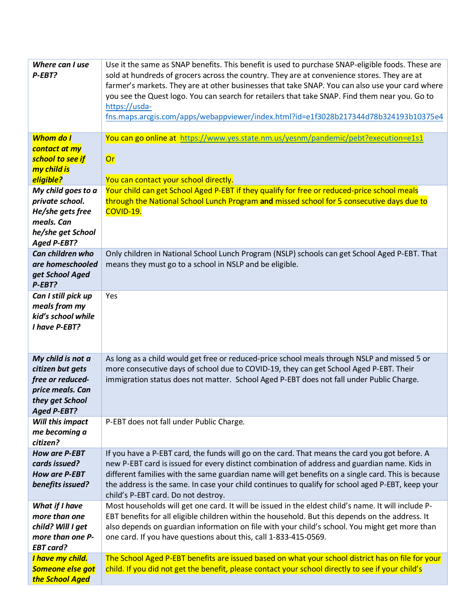| Where can I use<br>P-EBT?<br><b>Whom do I</b><br>contact at my<br>school to see if                                     | Use it the same as SNAP benefits. This benefit is used to purchase SNAP-eligible foods. These are<br>sold at hundreds of grocers across the country. They are at convenience stores. They are at<br>farmer's markets. They are at other businesses that take SNAP. You can also use your card where<br>you see the Quest logo. You can search for retailers that take SNAP. Find them near you. Go to<br>https://usda-<br>fns.maps.arcgis.com/apps/webappviewer/index.html?id=e1f3028b217344d78b324193b10375e4<br>You can go online at https://www.yes.state.nm.us/yesnm/pandemic/pebt?execution=e1s1<br><b>Or</b> |
|------------------------------------------------------------------------------------------------------------------------|--------------------------------------------------------------------------------------------------------------------------------------------------------------------------------------------------------------------------------------------------------------------------------------------------------------------------------------------------------------------------------------------------------------------------------------------------------------------------------------------------------------------------------------------------------------------------------------------------------------------|
| my child is<br>eligible?                                                                                               | You can contact your school directly.                                                                                                                                                                                                                                                                                                                                                                                                                                                                                                                                                                              |
| My child goes to a<br>private school.<br>He/she gets free<br>meals. Can<br>he/she get School                           | Your child can get School Aged P-EBT if they qualify for free or reduced-price school meals<br>through the National School Lunch Program and missed school for 5 consecutive days due to<br>COVID-19.                                                                                                                                                                                                                                                                                                                                                                                                              |
| <b>Aged P-EBT?</b><br>Can children who<br>are homeschooled<br>get School Aged<br>P-EBT?                                | Only children in National School Lunch Program (NSLP) schools can get School Aged P-EBT. That<br>means they must go to a school in NSLP and be eligible.                                                                                                                                                                                                                                                                                                                                                                                                                                                           |
| Can I still pick up<br>meals from my<br>kid's school while<br>I have P-EBT?                                            | Yes                                                                                                                                                                                                                                                                                                                                                                                                                                                                                                                                                                                                                |
| My child is not a<br>citizen but gets<br>free or reduced-<br>price meals. Can<br>they get School<br><b>Aged P-EBT?</b> | As long as a child would get free or reduced-price school meals through NSLP and missed 5 or<br>more consecutive days of school due to COVID-19, they can get School Aged P-EBT. Their<br>immigration status does not matter. School Aged P-EBT does not fall under Public Charge.                                                                                                                                                                                                                                                                                                                                 |
| Will this impact<br>me becoming a<br>citizen?                                                                          | P-EBT does not fall under Public Charge.                                                                                                                                                                                                                                                                                                                                                                                                                                                                                                                                                                           |
| <b>How are P-EBT</b><br>cards issued?<br><b>How are P-EBT</b><br>benefits issued?                                      | If you have a P-EBT card, the funds will go on the card. That means the card you got before. A<br>new P-EBT card is issued for every distinct combination of address and guardian name. Kids in<br>different families with the same guardian name will get benefits on a single card. This is because<br>the address is the same. In case your child continues to qualify for school aged P-EBT, keep your<br>child's P-EBT card. Do not destroy.                                                                                                                                                                  |
| What if I have<br>more than one<br>child? Will I get<br>more than one P-<br><b>EBT card?</b>                           | Most households will get one card. It will be issued in the eldest child's name. It will include P-<br>EBT benefits for all eligible children within the household. But this depends on the address. It<br>also depends on guardian information on file with your child's school. You might get more than<br>one card. If you have questions about this, call 1-833-415-0569.                                                                                                                                                                                                                                      |
| I have my child.<br>Someone else got<br>the School Aged                                                                | The School Aged P-EBT benefits are issued based on what your school district has on file for your<br>child. If you did not get the benefit, please contact your school directly to see if your child's                                                                                                                                                                                                                                                                                                                                                                                                             |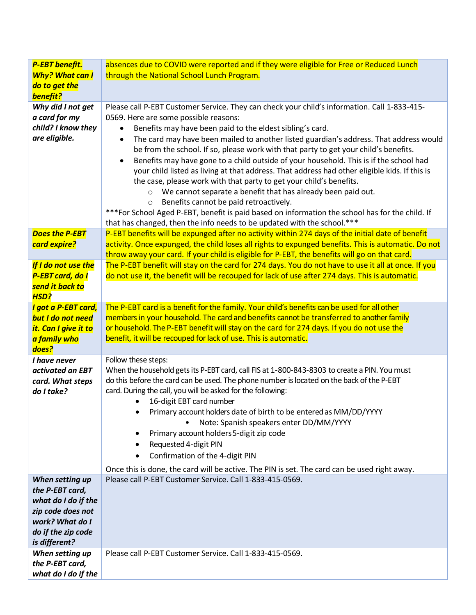| P-EBT benefit.                           | absences due to COVID were reported and if they were eligible for Free or Reduced Lunch                                                                                                 |
|------------------------------------------|-----------------------------------------------------------------------------------------------------------------------------------------------------------------------------------------|
| <b>Why? What can I</b>                   | through the National School Lunch Program.                                                                                                                                              |
| do to get the                            |                                                                                                                                                                                         |
| benefit?                                 |                                                                                                                                                                                         |
| Why did I not get<br>a card for my       | Please call P-EBT Customer Service. They can check your child's information. Call 1-833-415-<br>0569. Here are some possible reasons:                                                   |
| child? I know they                       | Benefits may have been paid to the eldest sibling's card.                                                                                                                               |
| are eligible.                            | The card may have been mailed to another listed guardian's address. That address would<br>$\bullet$                                                                                     |
|                                          | be from the school. If so, please work with that party to get your child's benefits.                                                                                                    |
|                                          | Benefits may have gone to a child outside of your household. This is if the school had<br>$\bullet$                                                                                     |
|                                          | your child listed as living at that address. That address had other eligible kids. If this is                                                                                           |
|                                          | the case, please work with that party to get your child's benefits.                                                                                                                     |
|                                          | o We cannot separate a benefit that has already been paid out.                                                                                                                          |
|                                          | Benefits cannot be paid retroactively.<br>$\circ$                                                                                                                                       |
|                                          | ***For School Aged P-EBT, benefit is paid based on information the school has for the child. If                                                                                         |
| <b>Does the P-EBT</b>                    | that has changed, then the info needs to be updated with the school.***<br>P-EBT benefits will be expunged after no activity within 274 days of the initial date of benefit             |
| card expire?                             | activity. Once expunged, the child loses all rights to expunged benefits. This is automatic. Do not                                                                                     |
|                                          | throw away your card. If your child is eligible for P-EBT, the benefits will go on that card.                                                                                           |
| If I do not use the                      | The P-EBT benefit will stay on the card for 274 days. You do not have to use it all at once. If you                                                                                     |
| <b>P-EBT card, do I</b>                  | do not use it, the benefit will be recouped for lack of use after 274 days. This is automatic.                                                                                          |
| send it back to                          |                                                                                                                                                                                         |
| <b>HSD?</b>                              |                                                                                                                                                                                         |
| I got a P-EBT card,<br>but I do not need | The P-EBT card is a benefit for the family. Your child's benefits can be used for all other<br>members in your household. The card and benefits cannot be transferred to another family |
| it. Can I give it to                     | or household. The P-EBT benefit will stay on the card for 274 days. If you do not use the                                                                                               |
| a family who                             | benefit, it will be recouped for lack of use. This is automatic.                                                                                                                        |
| does?                                    |                                                                                                                                                                                         |
| I have never                             | Follow these steps:                                                                                                                                                                     |
| activated an EBT                         | When the household gets its P-EBT card, call FIS at 1-800-843-8303 to create a PIN. You must                                                                                            |
| card. What steps                         | do this before the card can be used. The phone number is located on the back of the P-EBT                                                                                               |
| do I take?                               | card. During the call, you will be asked for the following:<br>16-digit EBT card number                                                                                                 |
|                                          | Primary account holders date of birth to be entered as MM/DD/YYYY<br>٠                                                                                                                  |
|                                          | Note: Spanish speakers enter DD/MM/YYYY                                                                                                                                                 |
|                                          | Primary account holders 5-digit zip code<br>٠                                                                                                                                           |
|                                          | Requested 4-digit PIN<br>٠                                                                                                                                                              |
|                                          | Confirmation of the 4-digit PIN<br>٠                                                                                                                                                    |
|                                          | Once this is done, the card will be active. The PIN is set. The card can be used right away.                                                                                            |
| When setting up                          | Please call P-EBT Customer Service. Call 1-833-415-0569.                                                                                                                                |
| the P-EBT card,                          |                                                                                                                                                                                         |
| what do I do if the                      |                                                                                                                                                                                         |
| zip code does not<br>work? What do I     |                                                                                                                                                                                         |
| do if the zip code                       |                                                                                                                                                                                         |
| is different?                            |                                                                                                                                                                                         |
| When setting up                          | Please call P-EBT Customer Service. Call 1-833-415-0569.                                                                                                                                |
| the P-EBT card,                          |                                                                                                                                                                                         |
| what do I do if the                      |                                                                                                                                                                                         |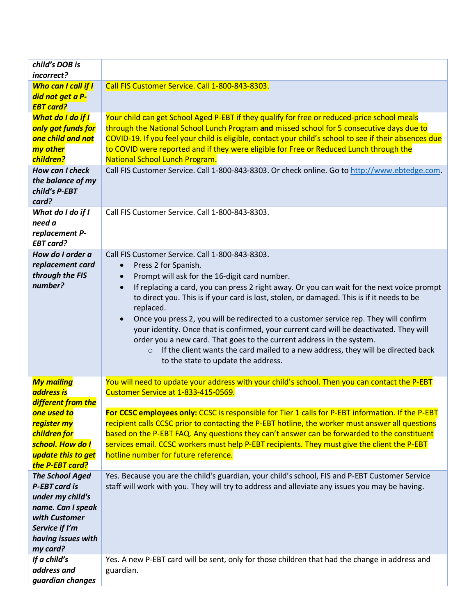| child's DOB is<br>incorrect?                                                                                                                                            |                                                                                                                                                                                                                                                                                                                                                                                                                                                                                                                                                                                                                                                                                                                                                                                          |
|-------------------------------------------------------------------------------------------------------------------------------------------------------------------------|------------------------------------------------------------------------------------------------------------------------------------------------------------------------------------------------------------------------------------------------------------------------------------------------------------------------------------------------------------------------------------------------------------------------------------------------------------------------------------------------------------------------------------------------------------------------------------------------------------------------------------------------------------------------------------------------------------------------------------------------------------------------------------------|
| Who can I call if I<br>did not get a P-<br><b>EBT card?</b>                                                                                                             | Call FIS Customer Service. Call 1-800-843-8303.                                                                                                                                                                                                                                                                                                                                                                                                                                                                                                                                                                                                                                                                                                                                          |
| What do I do if I<br>only got funds for<br>one child and not<br>my other<br>children?<br>How can I check                                                                | Your child can get School Aged P-EBT if they qualify for free or reduced-price school meals<br>through the National School Lunch Program and missed school for 5 consecutive days due to<br>COVID-19. If you feel your child is eligible, contact your child's school to see if their absences due<br>to COVID were reported and if they were eligible for Free or Reduced Lunch through the<br>National School Lunch Program.<br>Call FIS Customer Service. Call 1-800-843-8303. Or check online. Go to http://www.ebtedge.com.                                                                                                                                                                                                                                                         |
| the balance of my<br>child's P-EBT<br>card?                                                                                                                             |                                                                                                                                                                                                                                                                                                                                                                                                                                                                                                                                                                                                                                                                                                                                                                                          |
| What do I do if I<br>need a<br>replacement P-<br><b>EBT card?</b>                                                                                                       | Call FIS Customer Service. Call 1-800-843-8303.                                                                                                                                                                                                                                                                                                                                                                                                                                                                                                                                                                                                                                                                                                                                          |
| How do I order a<br>replacement card<br>through the FIS<br>number?                                                                                                      | Call FIS Customer Service. Call 1-800-843-8303.<br>Press 2 for Spanish.<br>$\bullet$<br>Prompt will ask for the 16-digit card number.<br>$\bullet$<br>If replacing a card, you can press 2 right away. Or you can wait for the next voice prompt<br>$\bullet$<br>to direct you. This is if your card is lost, stolen, or damaged. This is if it needs to be<br>replaced.<br>Once you press 2, you will be redirected to a customer service rep. They will confirm<br>$\bullet$<br>your identity. Once that is confirmed, your current card will be deactivated. They will<br>order you a new card. That goes to the current address in the system.<br>If the client wants the card mailed to a new address, they will be directed back<br>$\circ$<br>to the state to update the address. |
| <b>My mailing</b><br><b>address is</b><br>different from the<br>one used to<br>register my<br>children for<br>school. How do I<br>update this to get<br>the P-EBT card? | You will need to update your address with your child's school. Then you can contact the P-EBT<br>Customer Service at 1-833-415-0569.<br>For CCSC employees only: CCSC is responsible for Tier 1 calls for P-EBT information. If the P-EBT<br>recipient calls CCSC prior to contacting the P-EBT hotline, the worker must answer all questions<br>based on the P-EBT FAQ. Any questions they can't answer can be forwarded to the constituent<br>services email. CCSC workers must help P-EBT recipients. They must give the client the P-EBT<br>hotline number for future reference.                                                                                                                                                                                                     |
| <b>The School Aged</b><br><b>P-EBT card is</b><br>under my child's<br>name. Can I speak<br>with Customer<br>Service if I'm<br>having issues with<br>my card?            | Yes. Because you are the child's guardian, your child's school, FIS and P-EBT Customer Service<br>staff will work with you. They will try to address and alleviate any issues you may be having.                                                                                                                                                                                                                                                                                                                                                                                                                                                                                                                                                                                         |
| If a child's<br>address and<br>guardian changes                                                                                                                         | Yes. A new P-EBT card will be sent, only for those children that had the change in address and<br>guardian.                                                                                                                                                                                                                                                                                                                                                                                                                                                                                                                                                                                                                                                                              |